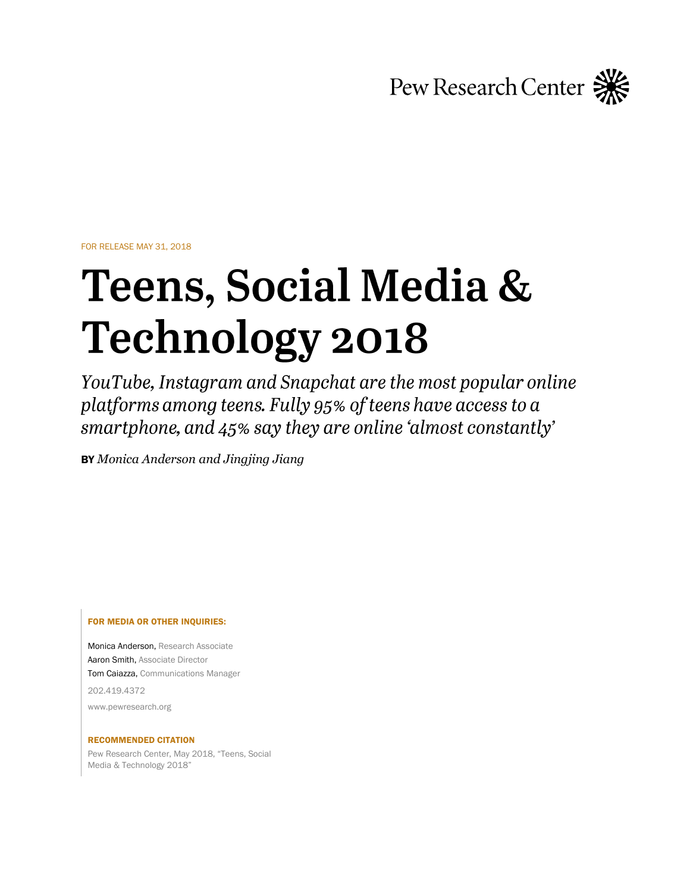Pew Research Center

FOR RELEASE MAY 31, 2018

# Teens, Social Media & **Technology 2018**

YouTube, Instagram and Snapchat are the most popular online platforms among teens. Fully 95% of teens have access to a smartphone, and 45% say they are online 'almost constantly'

BY *Monica Anderson and Jingjing Jiang*

### FOR MEDIA OR OTHER INQUIRIES:

Monica Anderson, Research Associate Aaron Smith, Associate Director Tom Caiazza, Communications Manager 202.419.4372 www.pewresearch.org

### RECOMMENDED CITATION

Pew Research Center, May 2018, "Teens, Social Media & Technology 2018"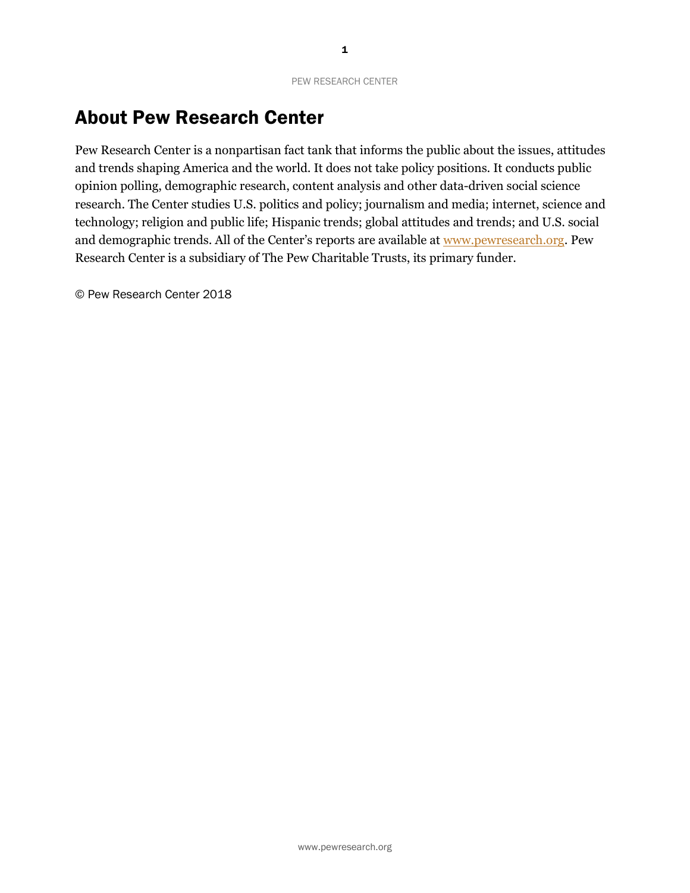# About Pew Research Center

Pew Research Center is a nonpartisan fact tank that informs the public about the issues, attitudes and trends shaping America and the world. It does not take policy positions. It conducts public opinion polling, demographic research, content analysis and other data-driven social science research. The Center studies U.S. politics and policy; journalism and media; internet, science and technology; religion and public life; Hispanic trends; global attitudes and trends; and U.S. social and demographic trends. All of the Center's reports are available at [www.pewresearch.org.](http://www.pewresearch.org/) Pew Research Center is a subsidiary of The Pew Charitable Trusts, its primary funder.

© Pew Research Center 2018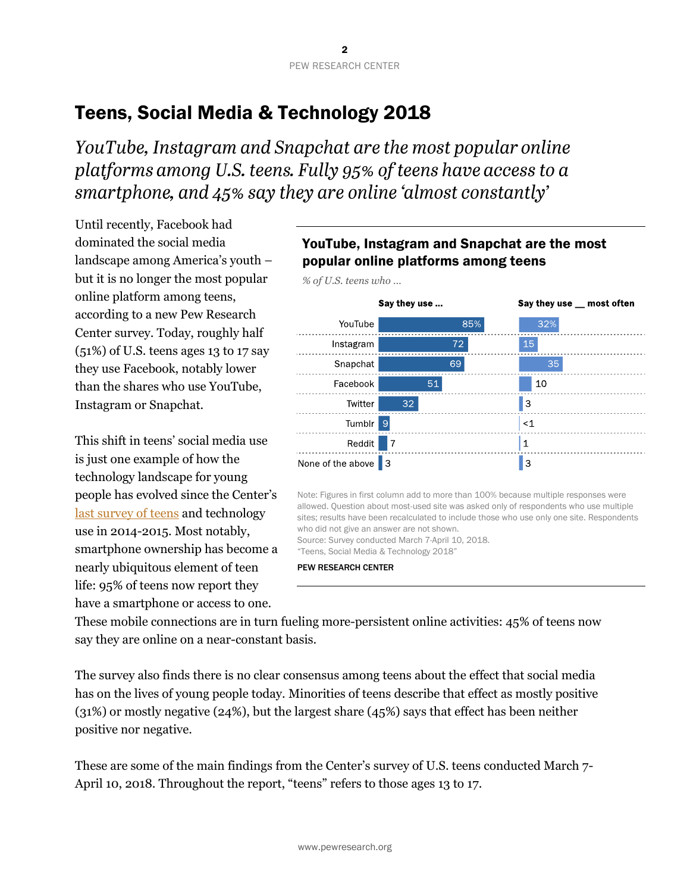# Teens, Social Media & Technology 2018

YouTube, Instagram and Snapchat are the most popular online platforms among U.S. teens. Fully 95% of teens have access to a smartphone, and 45% say they are online 'almost constantly'

Until recently, Facebook had dominated the social media landscape among America's youth – but it is no longer the most popular online platform among teens, according to a new Pew Research Center survey. Today, roughly half (51%) of U.S. teens ages 13 to 17 say they use Facebook, notably lower than the shares who use YouTube, Instagram or Snapchat.

This shift in teens' social media use is just one example of how the technology landscape for young people has evolved since the Center's [last survey of teens](http://www.pewinternet.org/2015/04/09/teens-social-media-technology-2015/) and technology use in 2014-2015. Most notably, smartphone ownership has become a nearly ubiquitous element of teen life: 95% of teens now report they have a smartphone or access to one.

# YouTube, Instagram and Snapchat are the most popular online platforms among teens



These mobile connections are in turn fueling more-persistent online activities: 45% of teens now say they are online on a near-constant basis.

PEW RESEARCH CENTER

Source: Survey conducted March 7-April 10, 2018. "Teens, Social Media & Technology 2018"

The survey also finds there is no clear consensus among teens about the effect that social media has on the lives of young people today. Minorities of teens describe that effect as mostly positive (31%) or mostly negative (24%), but the largest share (45%) says that effect has been neither positive nor negative.

These are some of the main findings from the Center's survey of U.S. teens conducted March 7- April 10, 2018. Throughout the report, "teens" refers to those ages 13 to 17.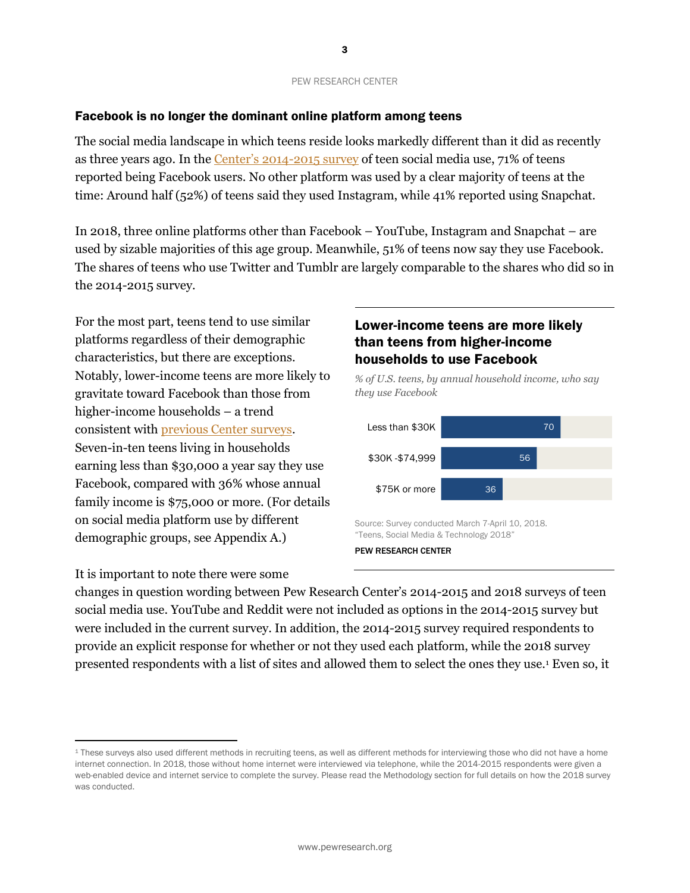3

# Facebook is no longer the dominant online platform among teens

The social media landscape in which teens reside looks markedly different than it did as recently as three years ago. In the Center's [2014-2015 survey](http://www.pewinternet.org/2015/04/09/teens-social-media-technology-2015/) of teen social media use, 71% of teens reported being Facebook users. No other platform was used by a clear majority of teens at the time: Around half (52%) of teens said they used Instagram, while 41% reported using Snapchat.

In 2018, three online platforms other than Facebook – YouTube, Instagram and Snapchat – are used by sizable majorities of this age group. Meanwhile, 51% of teens now say they use Facebook. The shares of teens who use Twitter and Tumblr are largely comparable to the shares who did so in the 2014-2015 survey.

For the most part, teens tend to use similar platforms regardless of their demographic characteristics, but there are exceptions. Notably, lower-income teens are more likely to gravitate toward Facebook than those from higher-income households – a trend consistent with [previous Center surveys.](http://www.pewinternet.org/2015/04/09/teens-social-media-technology-2015/pi_2015-04-09_teensandtech_03/) Seven-in-ten teens living in households earning less than \$30,000 a year say they use Facebook, compared with 36% whose annual family income is \$75,000 or more. (For details on social media platform use by different demographic groups, see Appendix A.)

# Lower-income teens are more likely than teens from higher-income households to use Facebook

*% of U.S. teens, by annual household income, who say they use Facebook*



It is important to note there were some

 $\overline{a}$ 

changes in question wording between Pew Research Center's 2014-2015 and 2018 surveys of teen social media use. YouTube and Reddit were not included as options in the 2014-2015 survey but were included in the current survey. In addition, the 2014-2015 survey required respondents to provide an explicit response for whether or not they used each platform, while the 2018 survey presented respondents with a list of sites and allowed them to select the ones they use.<sup>1</sup> Even so, it

<sup>&</sup>lt;sup>1</sup> These surveys also used different methods in recruiting teens, as well as different methods for interviewing those who did not have a home internet connection. In 2018, those without home internet were interviewed via telephone, while the 2014-2015 respondents were given a web-enabled device and internet service to complete the survey. Please read the Methodology section for full details on how the 2018 survey was conducted.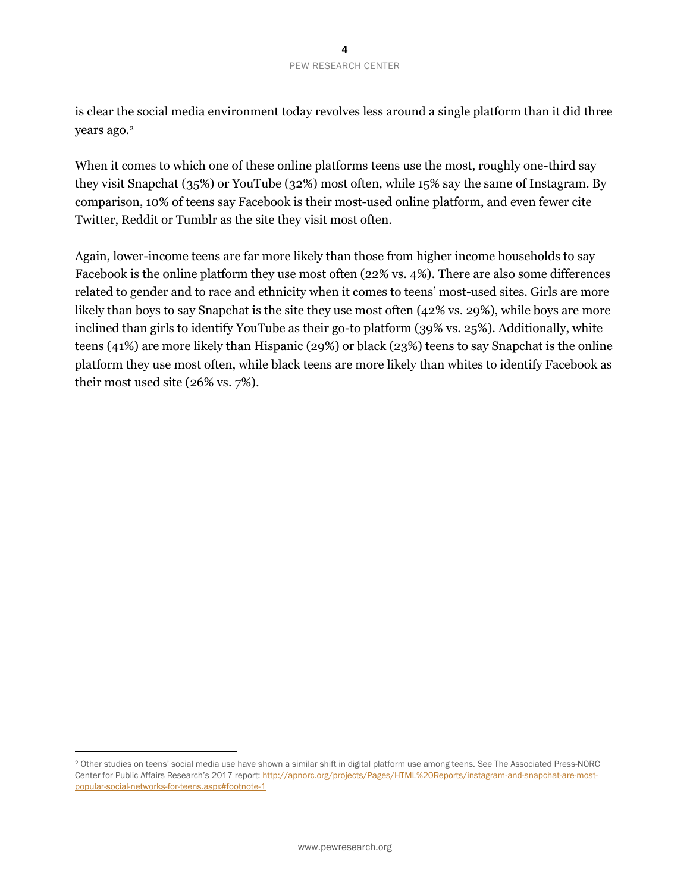is clear the social media environment today revolves less around a single platform than it did three years ago.<sup>2</sup>

When it comes to which one of these online platforms teens use the most, roughly one-third say they visit Snapchat (35%) or YouTube (32%) most often, while 15% say the same of Instagram. By comparison, 10% of teens say Facebook is their most-used online platform, and even fewer cite Twitter, Reddit or Tumblr as the site they visit most often.

Again, lower-income teens are far more likely than those from higher income households to say Facebook is the online platform they use most often (22% vs. 4%). There are also some differences related to gender and to race and ethnicity when it comes to teens' most-used sites. Girls are more likely than boys to say Snapchat is the site they use most often (42% vs. 29%), while boys are more inclined than girls to identify YouTube as their go-to platform (39% vs. 25%). Additionally, white teens (41%) are more likely than Hispanic (29%) or black (23%) teens to say Snapchat is the online platform they use most often, while black teens are more likely than whites to identify Facebook as their most used site (26% vs. 7%).

 $\overline{a}$ 

<sup>2</sup> Other studies on teens' social media use have shown a similar shift in digital platform use among teens. See The Associated Press-NORC Center for Public Affairs Research's 2017 report: [http://apnorc.org/projects/Pages/HTML%20Reports/instagram-and-snapchat-are-most](http://apnorc.org/projects/Pages/HTML%20Reports/instagram-and-snapchat-are-most-popular-social-networks-for-teens.aspx#footnote-1)[popular-social-networks-for-teens.aspx#footnote-1](http://apnorc.org/projects/Pages/HTML%20Reports/instagram-and-snapchat-are-most-popular-social-networks-for-teens.aspx#footnote-1)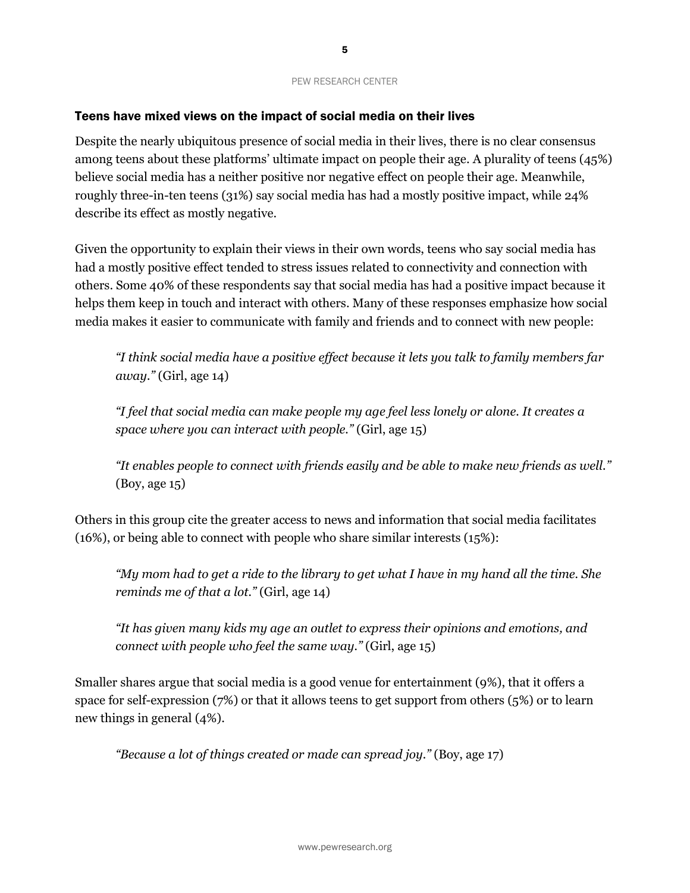### Teens have mixed views on the impact of social media on their lives

Despite the nearly ubiquitous presence of social media in their lives, there is no clear consensus among teens about these platforms' ultimate impact on people their age. A plurality of teens (45%) believe social media has a neither positive nor negative effect on people their age. Meanwhile, roughly three-in-ten teens (31%) say social media has had a mostly positive impact, while 24% describe its effect as mostly negative.

Given the opportunity to explain their views in their own words, teens who say social media has had a mostly positive effect tended to stress issues related to connectivity and connection with others. Some 40% of these respondents say that social media has had a positive impact because it helps them keep in touch and interact with others. Many of these responses emphasize how social media makes it easier to communicate with family and friends and to connect with new people:

*"I think social media have a positive effect because it lets you talk to family members far away."* (Girl, age 14)

*"I feel that social media can make people my age feel less lonely or alone. It creates a space where you can interact with people."* (Girl, age 15)

*"It enables people to connect with friends easily and be able to make new friends as well."*  (Boy, age 15)

Others in this group cite the greater access to news and information that social media facilitates (16%), or being able to connect with people who share similar interests (15%):

*"My mom had to get a ride to the library to get what I have in my hand all the time. She reminds me of that a lot."* (Girl, age 14)

*"It has given many kids my age an outlet to express their opinions and emotions, and connect with people who feel the same way."* (Girl, age 15)

Smaller shares argue that social media is a good venue for entertainment (9%), that it offers a space for self-expression (7%) or that it allows teens to get support from others (5%) or to learn new things in general (4%).

*"Because a lot of things created or made can spread joy."* (Boy, age 17)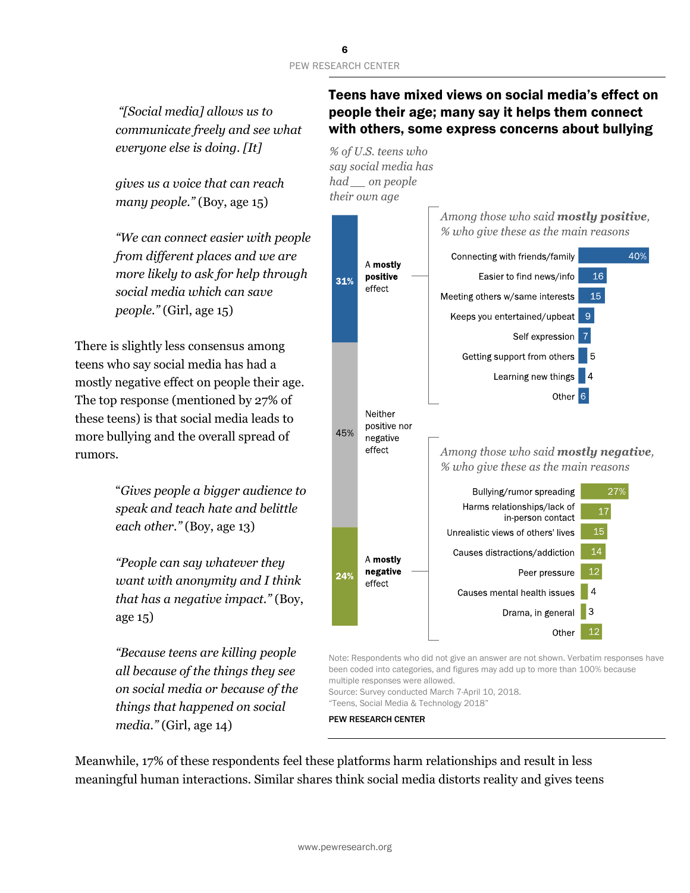*"[Social media] allows us to communicate freely and see what everyone else is doing. [It]* 

*gives us a voice that can reach many people."* (Boy, age 15)

*"We can connect easier with people from different places and we are more likely to ask for help through social media which can save people."* (Girl, age 15)

There is slightly less consensus among teens who say social media has had a mostly negative effect on people their age. The top response (mentioned by 27% of these teens) is that social media leads to more bullying and the overall spread of rumors.

> "*Gives people a bigger audience to speak and teach hate and belittle each other."* (Boy, age 13)

*"People can say whatever they want with anonymity and I think that has a negative impact."* (Boy, age 15)

*"Because teens are killing people all because of the things they see on social media or because of the things that happened on social media."* (Girl, age 14)

# Teens have mixed views on social media's effect on people their age; many say it helps them connect with others, some express concerns about bullying

% of U.S. teens who say social media has had on people their own age



Note: Respondents who did not give an answer are not shown. Verbatim responses have been coded into categories, and figures may add up to more than 100% because multiple responses were allowed.

Source: Survey conducted March 7-April 10, 2018. "Teens, Social Media & Technology 2018"

PEW RESEARCH CENTER

Meanwhile, 17% of these respondents feel these platforms harm relationships and result in less meaningful human interactions. Similar shares think social media distorts reality and gives teens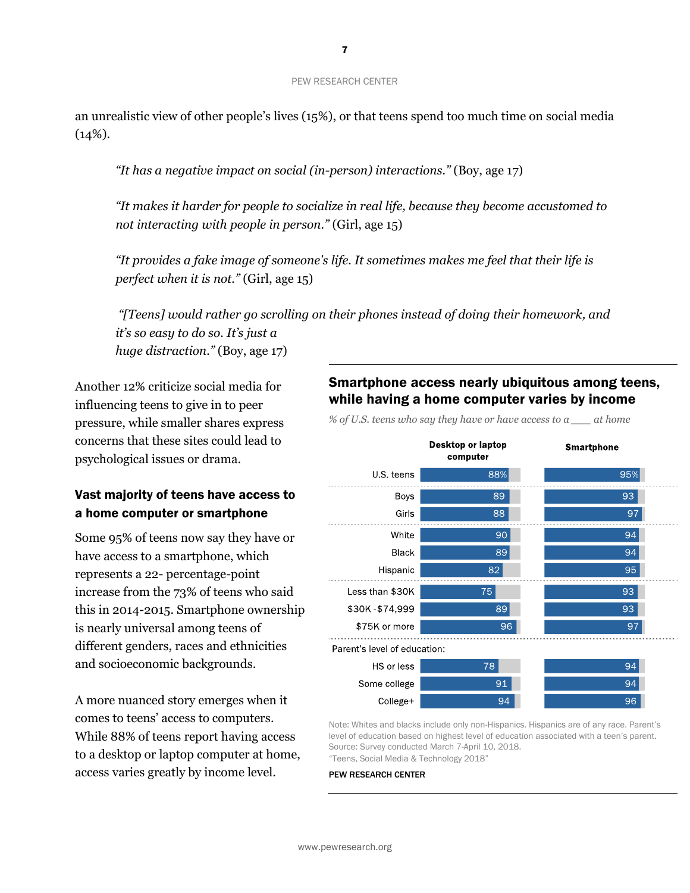an unrealistic view of other people's lives (15%), or that teens spend too much time on social media  $(14\%).$ 

*"It has a negative impact on social (in-person) interactions."* (Boy, age 17)

*"It makes it harder for people to socialize in real life, because they become accustomed to not interacting with people in person."* (Girl, age 15)

*"It provides a fake image of someone's life. It sometimes makes me feel that their life is perfect when it is not."* (Girl, age 15)

*"[Teens] would rather go scrolling on their phones instead of doing their homework, and it's so easy to do so. It's just a huge distraction."* (Boy, age 17)

Another 12% criticize social media for influencing teens to give in to peer pressure, while smaller shares express concerns that these sites could lead to psychological issues or drama.

# Vast majority of teens have access to a home computer or smartphone

Some 95% of teens now say they have or have access to a smartphone, which represents a 22- percentage-point increase from the 73% of teens who said this in 2014-2015. Smartphone ownership is nearly universal among teens of different genders, races and ethnicities and socioeconomic backgrounds.

A more nuanced story emerges when it comes to teens' access to computers. While 88% of teens report having access to a desktop or laptop computer at home, access varies greatly by income level.

# Smartphone access nearly ubiquitous among teens, while having a home computer varies by income

*% of U.S. teens who say they have or have access to a \_\_\_ at home*

**Desktop or laptop Smartphone** computer 88% 95% U.S. teens 89  $93|$ **Boys** 88 97 Girls 94 90 White 89 94 **Black**  $82$ 95 Hispanic 75  $93|$ Less than \$30K \$30K-\$74,999 89 93 \$75K or more 96 97 Parent's level of education: 94 HS or less 78 94 Some college 91 94 College+ 96

Note: Whites and blacks include only non-Hispanics. Hispanics are of any race. Parent's level of education based on highest level of education associated with a teen's parent. Source: Survey conducted March 7-April 10, 2018. "Teens, Social Media & Technology 2018"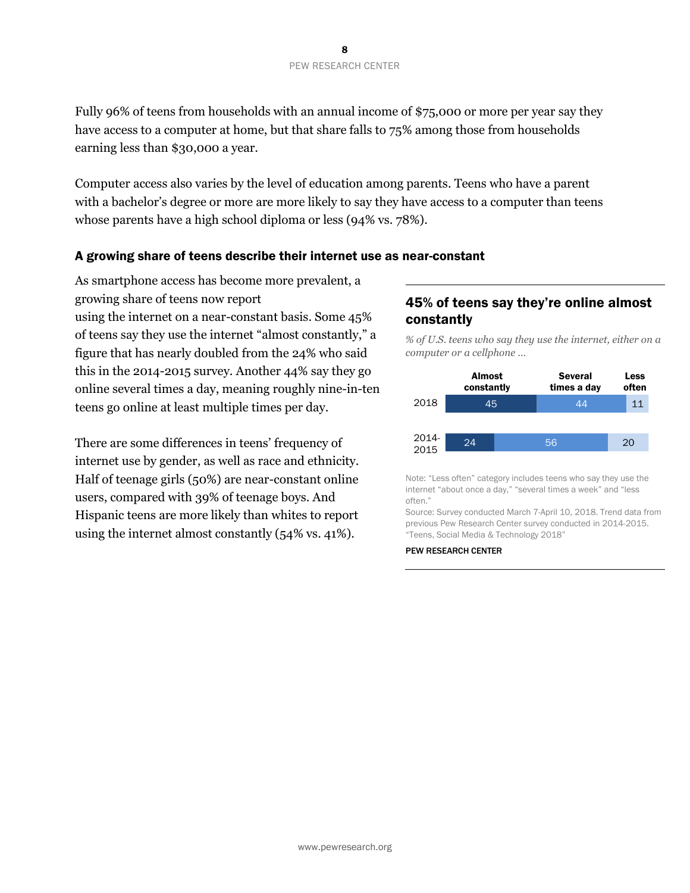Fully 96% of teens from households with an annual income of \$75,000 or more per year say they have access to a computer at home, but that share falls to  $75\%$  among those from households earning less than \$30,000 a year.

Computer access also varies by the level of education among parents. Teens who have a parent with a bachelor's degree or more are more likely to say they have access to a computer than teens whose parents have a high school diploma or less (94% vs. 78%).

### A growing share of teens describe their internet use as near-constant

As smartphone access has become more prevalent, a growing share of teens now report using the internet on a near-constant basis. Some 45% of teens say they use the internet "almost constantly," a figure that has nearly doubled from the 24% who said this in the 2014-2015 survey. Another 44% say they go online several times a day, meaning roughly nine-in-ten teens go online at least multiple times per day.

There are some differences in teens' frequency of internet use by gender, as well as race and ethnicity. Half of teenage girls (50%) are near-constant online users, compared with 39% of teenage boys. And Hispanic teens are more likely than whites to report using the internet almost constantly (54% vs. 41%).

# 45% of teens say they're online almost constantly

*% of U.S. teens who say they use the internet, either on a computer or a cellphone …*



Note: "Less often" category includes teens who say they use the internet "about once a day," "several times a week" and "less often."

Source: Survey conducted March 7-April 10, 2018. Trend data from previous Pew Research Center survey conducted in 2014-2015. "Teens, Social Media & Technology 2018"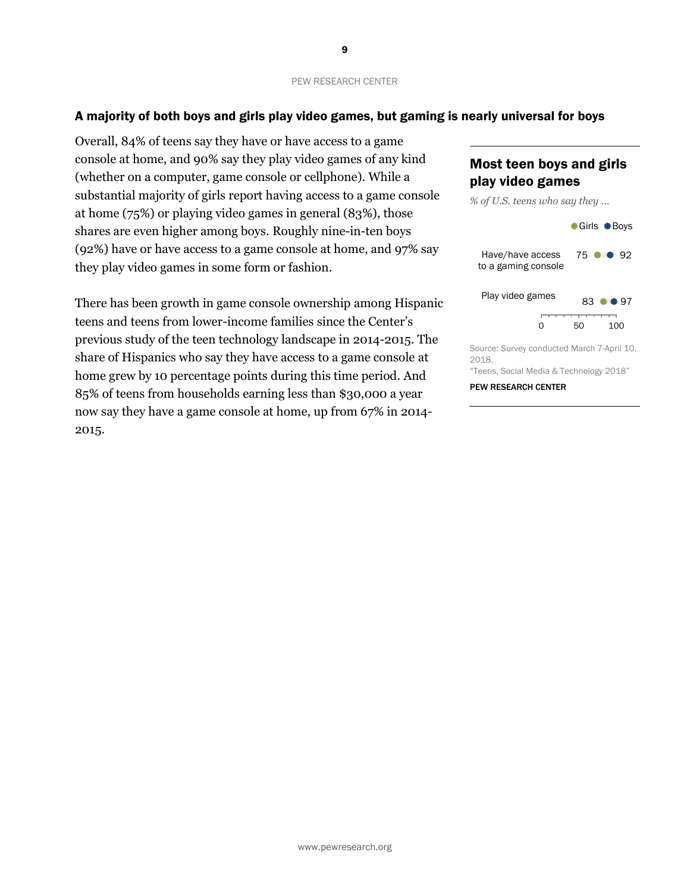### A majority of both boys and girls play video games, but gaming is nearly universal for boys

Overall, 84% of teens say they have or have access to a game console at home, and 90% say they play video games of any kind (whether on a computer, game console or cellphone). While a substantial majority of girls report having access to a game console at home (75%) or playing video games in general (83%), those shares are even higher among boys. Roughly nine-in-ten boys (92%) have or have access to a game console at home, and 97% say they play video games in some form or fashion.

There has been growth in game console ownership among Hispanic teens and teens from lower-income families since the Center's previous study of the teen technology landscape in 2014-2015. The share of Hispanics who say they have access to a game console at home grew by 10 percentage points during this time period. And 85% of teens from households earning less than \$30,000 a year now say they have a game console at home, up from 67% in 2014- 2015.

# Most teen boys and girls play video games



"Teens, Social Media & Technology 2018"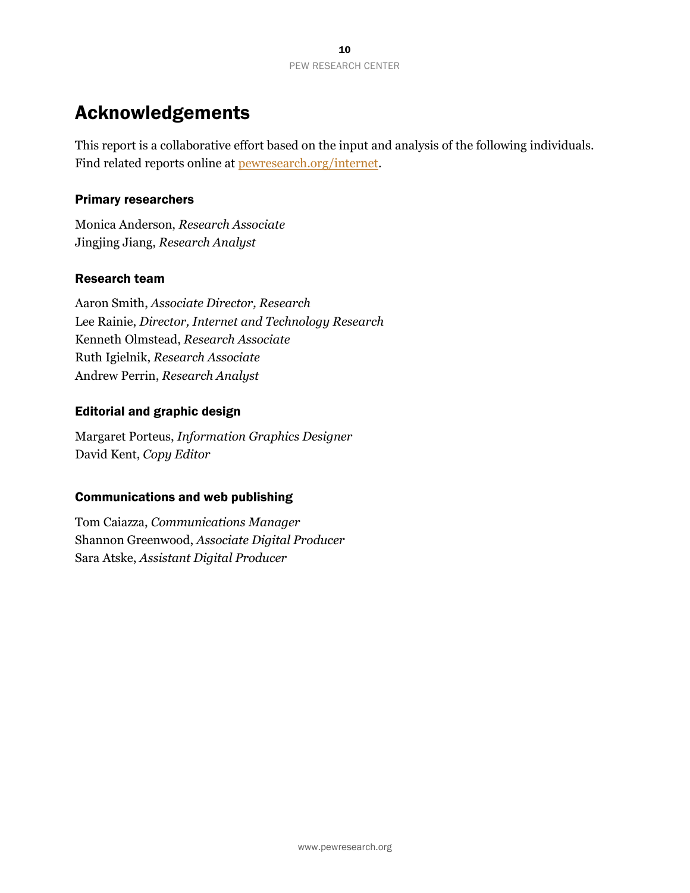# Acknowledgements

This report is a collaborative effort based on the input and analysis of the following individuals. Find related reports online at [pewresearch.org/internet.](http://www.pewresearch.org/internet)

## Primary researchers

Monica Anderson, *Research Associate* Jingjing Jiang, *Research Analyst*

## Research team

Aaron Smith, *Associate Director, Research* Lee Rainie, *Director, Internet and Technology Research* Kenneth Olmstead, *Research Associate* Ruth Igielnik, *Research Associate* Andrew Perrin, *Research Analyst*

## Editorial and graphic design

Margaret Porteus, *Information Graphics Designer* David Kent, *Copy Editor*

# Communications and web publishing

Tom Caiazza, *Communications Manager* Shannon Greenwood, *Associate Digital Producer* Sara Atske, *Assistant Digital Producer*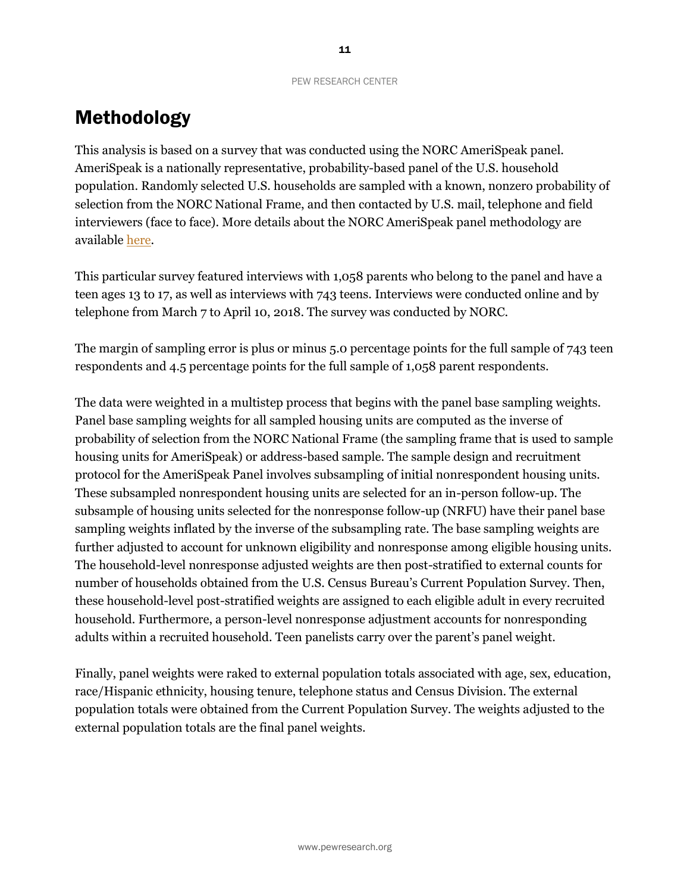# Methodology

This analysis is based on a survey that was conducted using the NORC AmeriSpeak panel. AmeriSpeak is a nationally representative, probability-based panel of the U.S. household population. Randomly selected U.S. households are sampled with a known, nonzero probability of selection from the NORC National Frame, and then contacted by U.S. mail, telephone and field interviewers (face to face). More details about the NORC AmeriSpeak panel methodology are available [here.](http://www.norc.org/PDFs/AmeriSpeak%20Technical%20Overview%202015%2011%2025.pdf)

This particular survey featured interviews with 1,058 parents who belong to the panel and have a teen ages 13 to 17, as well as interviews with 743 teens. Interviews were conducted online and by telephone from March 7 to April 10, 2018. The survey was conducted by NORC.

The margin of sampling error is plus or minus 5.0 percentage points for the full sample of 743 teen respondents and 4.5 percentage points for the full sample of 1,058 parent respondents.

The data were weighted in a multistep process that begins with the panel base sampling weights. Panel base sampling weights for all sampled housing units are computed as the inverse of probability of selection from the NORC National Frame (the sampling frame that is used to sample housing units for AmeriSpeak) or address-based sample. The sample design and recruitment protocol for the AmeriSpeak Panel involves subsampling of initial nonrespondent housing units. These subsampled nonrespondent housing units are selected for an in-person follow-up. The subsample of housing units selected for the nonresponse follow-up (NRFU) have their panel base sampling weights inflated by the inverse of the subsampling rate. The base sampling weights are further adjusted to account for unknown eligibility and nonresponse among eligible housing units. The household-level nonresponse adjusted weights are then post-stratified to external counts for number of households obtained from the U.S. Census Bureau's Current Population Survey. Then, these household-level post-stratified weights are assigned to each eligible adult in every recruited household. Furthermore, a person-level nonresponse adjustment accounts for nonresponding adults within a recruited household. Teen panelists carry over the parent's panel weight.

Finally, panel weights were raked to external population totals associated with age, sex, education, race/Hispanic ethnicity, housing tenure, telephone status and Census Division. The external population totals were obtained from the Current Population Survey. The weights adjusted to the external population totals are the final panel weights.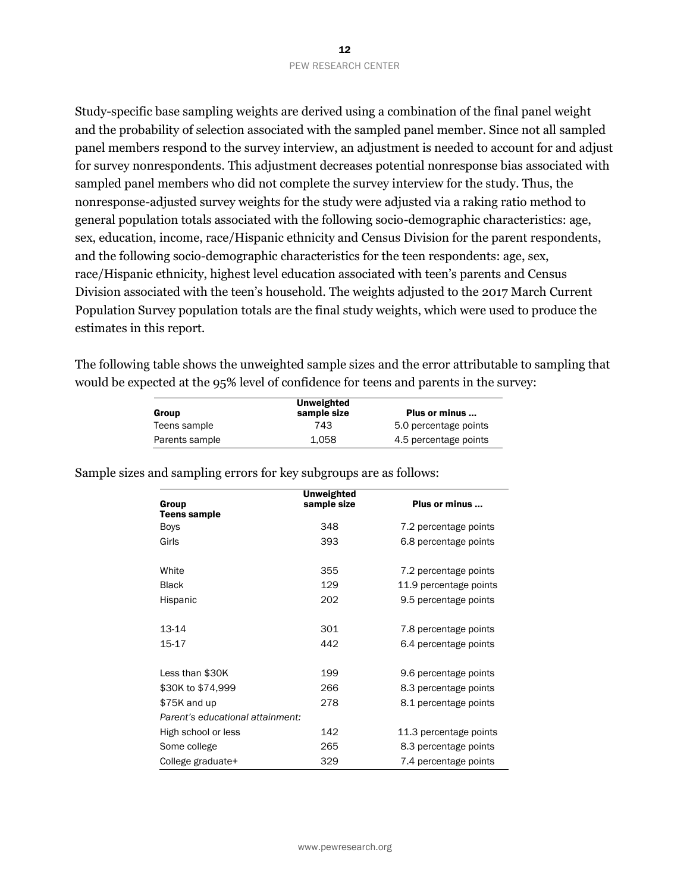Study-specific base sampling weights are derived using a combination of the final panel weight and the probability of selection associated with the sampled panel member. Since not all sampled panel members respond to the survey interview, an adjustment is needed to account for and adjust for survey nonrespondents. This adjustment decreases potential nonresponse bias associated with sampled panel members who did not complete the survey interview for the study. Thus, the nonresponse-adjusted survey weights for the study were adjusted via a raking ratio method to general population totals associated with the following socio-demographic characteristics: age, sex, education, income, race/Hispanic ethnicity and Census Division for the parent respondents, and the following socio-demographic characteristics for the teen respondents: age, sex, race/Hispanic ethnicity, highest level education associated with teen's parents and Census Division associated with the teen's household. The weights adjusted to the 2017 March Current Population Survey population totals are the final study weights, which were used to produce the estimates in this report.

The following table shows the unweighted sample sizes and the error attributable to sampling that would be expected at the 95% level of confidence for teens and parents in the survey:

| Group                                                 | <b>Unweighted</b><br>sample size | Plus or minus          |  |
|-------------------------------------------------------|----------------------------------|------------------------|--|
| Teens sample                                          | 743                              | 5.0 percentage points  |  |
| Parents sample                                        | 1,058                            | 4.5 percentage points  |  |
| and sampling errors for key subgroups are as follows: |                                  |                        |  |
| Group<br><b>Teens sample</b>                          | <b>Unweighted</b><br>sample size | Plus or minus          |  |
| <b>Boys</b>                                           | 348                              | 7.2 percentage points  |  |
| Girls                                                 | 393                              | 6.8 percentage points  |  |
| White                                                 | 355                              | 7.2 percentage points  |  |
| <b>Black</b>                                          | 129                              | 11.9 percentage points |  |
| Hispanic                                              | 202                              | 9.5 percentage points  |  |
| 13-14                                                 | 301                              | 7.8 percentage points  |  |
| 15-17                                                 | 442                              | 6.4 percentage points  |  |
| Less than \$30K                                       | 199                              | 9.6 percentage points  |  |
| \$30K to \$74,999                                     | 266                              | 8.3 percentage points  |  |
| \$75K and up                                          | 278                              | 8.1 percentage points  |  |
| Parent's educational attainment:                      |                                  |                        |  |
| High school or less                                   | 142                              | 11.3 percentage points |  |
| Some college                                          | 265                              | 8.3 percentage points  |  |
| College graduate+                                     | 329                              | 7.4 percentage points  |  |

Sample sizes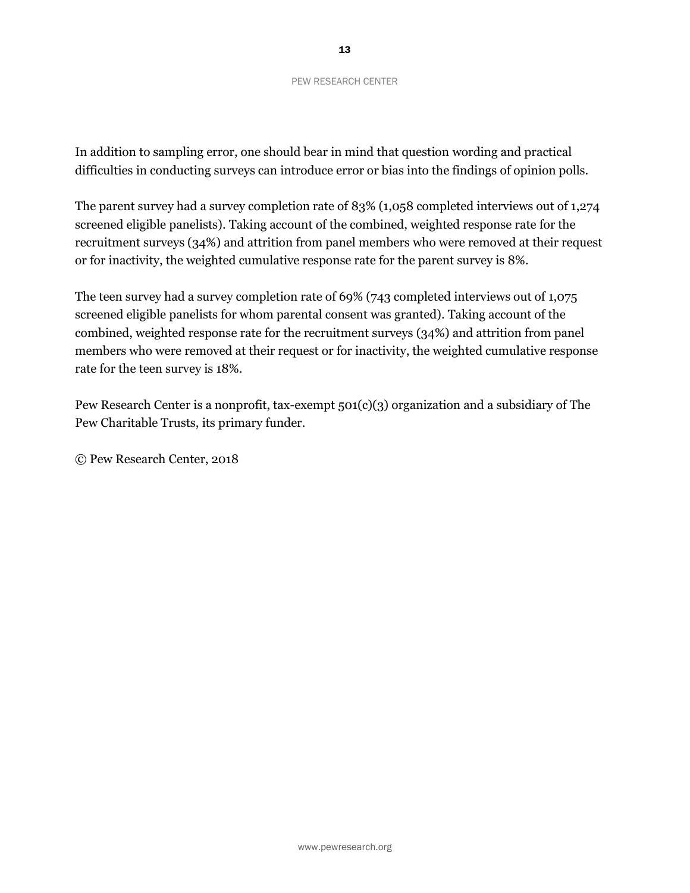In addition to sampling error, one should bear in mind that question wording and practical difficulties in conducting surveys can introduce error or bias into the findings of opinion polls.

The parent survey had a survey completion rate of 83% (1,058 completed interviews out of 1,274 screened eligible panelists). Taking account of the combined, weighted response rate for the recruitment surveys (34%) and attrition from panel members who were removed at their request or for inactivity, the weighted cumulative response rate for the parent survey is 8%.

The teen survey had a survey completion rate of 69% (743 completed interviews out of 1,075 screened eligible panelists for whom parental consent was granted). Taking account of the combined, weighted response rate for the recruitment surveys (34%) and attrition from panel members who were removed at their request or for inactivity, the weighted cumulative response rate for the teen survey is 18%.

Pew Research Center is a nonprofit, tax-exempt 501(c)(3) organization and a subsidiary of The Pew Charitable Trusts, its primary funder.

© Pew Research Center, 2018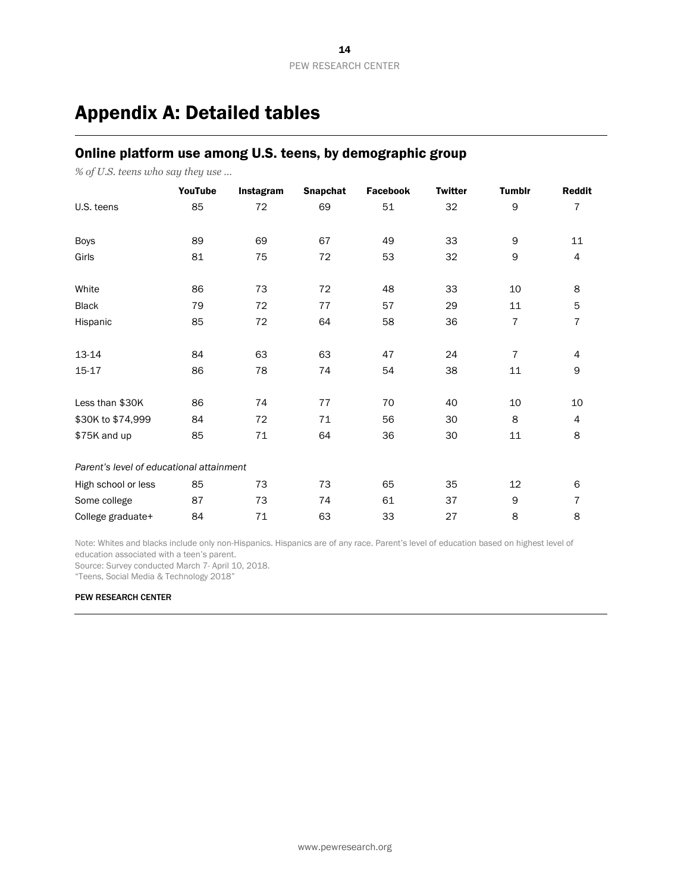# Appendix A: Detailed tables

# Online platform use among U.S. teens, by demographic group

*% of U.S. teens who say they use …*

|                                          | YouTube | Instagram | Snapchat | <b>Facebook</b> | <b>Twitter</b> | <b>Tumblr</b>  | <b>Reddit</b>            |
|------------------------------------------|---------|-----------|----------|-----------------|----------------|----------------|--------------------------|
| U.S. teens                               | 85      | 72        | 69       | 51              | 32             | 9              | 7                        |
| <b>Boys</b>                              | 89      | 69        | 67       | 49              | 33             | 9              | 11                       |
| Girls                                    | 81      | 75        | 72       | 53              | 32             | 9              | $\overline{\mathcal{A}}$ |
| White                                    | 86      | 73        | 72       | 48              | 33             | 10             | 8                        |
| <b>Black</b>                             | 79      | 72        | 77       | 57              | 29             | 11             | 5                        |
| Hispanic                                 | 85      | 72        | 64       | 58              | 36             | 7              | 7                        |
| 13-14                                    | 84      | 63        | 63       | 47              | 24             | $\overline{7}$ | 4                        |
| 15-17                                    | 86      | 78        | 74       | 54              | 38             | 11             | 9                        |
| Less than \$30K                          | 86      | 74        | 77       | 70              | 40             | 10             | 10                       |
| \$30K to \$74,999                        | 84      | 72        | 71       | 56              | 30             | 8              | $\overline{4}$           |
| \$75K and up                             | 85      | 71        | 64       | 36              | 30             | 11             | 8                        |
| Parent's level of educational attainment |         |           |          |                 |                |                |                          |
| High school or less                      | 85      | 73        | 73       | 65              | 35             | 12             | 6                        |
| Some college                             | 87      | 73        | 74       | 61              | 37             | 9              | 7                        |
| College graduate+                        | 84      | 71        | 63       | 33              | 27             | 8              | 8                        |

Note: Whites and blacks include only non-Hispanics. Hispanics are of any race. Parent's level of education based on highest level of education associated with a teen's parent.

Source: Survey conducted March 7- April 10, 2018.

"Teens, Social Media & Technology 2018"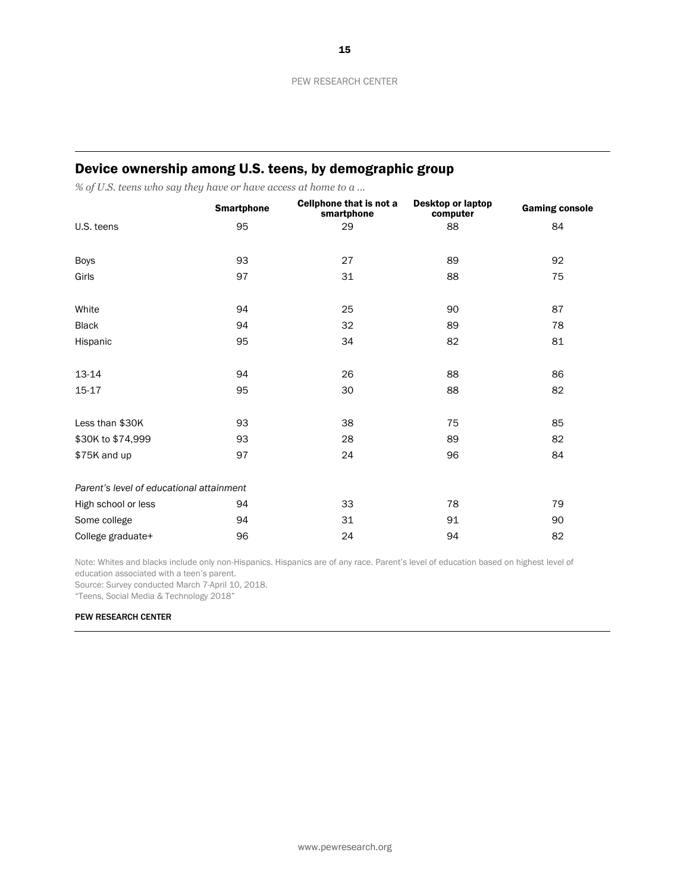# Device ownership among U.S. teens, by demographic group

*% of U.S. teens who say they have or have access at home to a …*

|                                          | <b>Smartphone</b> | Cellphone that is not a<br>smartphone | <b>Desktop or laptop</b><br>computer | <b>Gaming console</b> |
|------------------------------------------|-------------------|---------------------------------------|--------------------------------------|-----------------------|
| U.S. teens                               | 95                | 29                                    | 88                                   | 84                    |
| <b>Boys</b>                              | 93                | 27                                    | 89                                   | 92                    |
| Girls                                    | 97                | 31                                    | 88                                   | 75                    |
| White                                    | 94                | 25                                    | 90                                   | 87                    |
| <b>Black</b>                             | 94                | 32                                    | 89                                   | 78                    |
| Hispanic                                 | 95                | 34                                    | 82                                   | 81                    |
| 13-14                                    | 94                | 26                                    | 88                                   | 86                    |
| 15-17                                    | 95                | 30                                    | 88                                   | 82                    |
| Less than \$30K                          | 93                | 38                                    | 75                                   | 85                    |
| \$30K to \$74,999                        | 93                | 28                                    | 89                                   | 82                    |
| \$75K and up                             | 97                | 24                                    | 96                                   | 84                    |
| Parent's level of educational attainment |                   |                                       |                                      |                       |
| High school or less                      | 94                | 33                                    | 78                                   | 79                    |
| Some college                             | 94                | 31                                    | 91                                   | 90                    |
| College graduate+                        | 96                | 24                                    | 94                                   | 82                    |

Note: Whites and blacks include only non-Hispanics. Hispanics are of any race. Parent's level of education based on highest level of education associated with a teen's parent.

Source: Survey conducted March 7-April 10, 2018.

"Teens, Social Media & Technology 2018"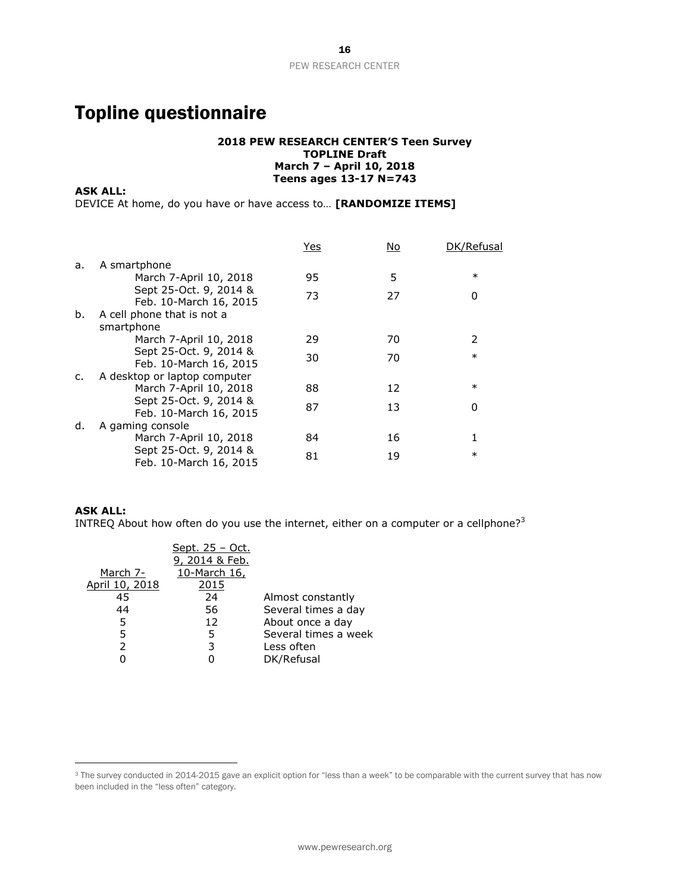# Topline questionnaire

### **2018 PEW RESEARCH CENTER'S Teen Survey TOPLINE Draft March 7 – April 10, 2018 Teens ages 13-17 N=743**

**ASK ALL:** 

DEVICE At home, do you have or have access to… **[RANDOMIZE ITEMS]**

|    |                                                  | <u>Yes</u> | No | DK/Refusal    |
|----|--------------------------------------------------|------------|----|---------------|
| a. | A smartphone                                     |            |    |               |
|    | March 7-April 10, 2018                           | 95         | 5  | $\ast$        |
|    | Sept 25-Oct. 9, 2014 &<br>Feb. 10-March 16, 2015 | 73         | 27 | 0             |
| b. | A cell phone that is not a                       |            |    |               |
|    | smartphone                                       |            |    |               |
|    | March 7-April 10, 2018                           | 29         | 70 | $\mathcal{P}$ |
|    | Sept 25-Oct. 9, 2014 &<br>Feb. 10-March 16, 2015 | 30         | 70 | $\ast$        |
| c. | A desktop or laptop computer                     |            |    |               |
|    | March 7-April 10, 2018                           | 88         | 12 | $\ast$        |
|    | Sept 25-Oct. 9, 2014 &<br>Feb. 10-March 16, 2015 | 87         | 13 | 0             |
| d. | A gaming console                                 |            |    |               |
|    | March 7-April 10, 2018                           | 84         | 16 |               |
|    | Sept 25-Oct. 9, 2014 &<br>Feb. 10-March 16, 2015 | 81         | 19 | $\ast$        |

### **ASK ALL:**

 $\overline{a}$ 

INTREQ About how often do you use the internet, either on a computer or a cellphone?<sup>3</sup>

|                | <u>Sept. 25 - Oct.</u> |                      |
|----------------|------------------------|----------------------|
|                | 9, 2014 & Feb.         |                      |
| March 7-       | 10-March 16,           |                      |
| April 10, 2018 | 2015                   |                      |
| 45             | 24                     | Almost constantly    |
| 44             | 56                     | Several times a day  |
| 5              | 12                     | About once a day     |
| 5              | 5                      | Several times a week |
| $\mathcal{P}$  | 3                      | Less often           |
|                |                        | DK/Refusal           |

<sup>&</sup>lt;sup>3</sup> The survey conducted in 2014-2015 gave an explicit option for "less than a week" to be comparable with the current survey that has now been included in the "less often" category.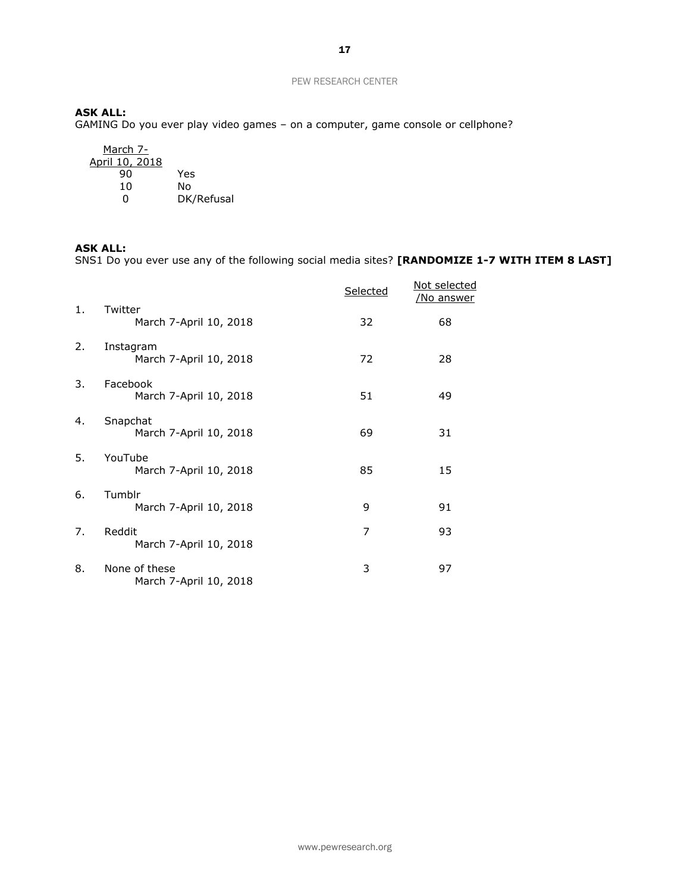### **ASK ALL:**

GAMING Do you ever play video games – on a computer, game console or cellphone?

| March 7-<br>April 10, 2018 |            |
|----------------------------|------------|
| 90                         | Yes        |
| 10                         | N٥         |
| Ω                          | DK/Refusal |

### **ASK ALL:**

SNS1 Do you ever use any of the following social media sites? **[RANDOMIZE 1-7 WITH ITEM 8 LAST]**

|    |                                         | Selected | Not selected<br><u>/No answer</u> |
|----|-----------------------------------------|----------|-----------------------------------|
| 1. | Twitter<br>March 7-April 10, 2018       | 32       | 68                                |
| 2. | Instagram<br>March 7-April 10, 2018     | 72       | 28                                |
| 3. | Facebook<br>March 7-April 10, 2018      | 51       | 49                                |
| 4. | Snapchat<br>March 7-April 10, 2018      | 69       | 31                                |
| 5. | YouTube<br>March 7-April 10, 2018       | 85       | 15                                |
| 6. | Tumblr<br>March 7-April 10, 2018        | 9        | 91                                |
| 7. | Reddit<br>March 7-April 10, 2018        | 7        | 93                                |
| 8. | None of these<br>March 7-April 10, 2018 | 3        | 97                                |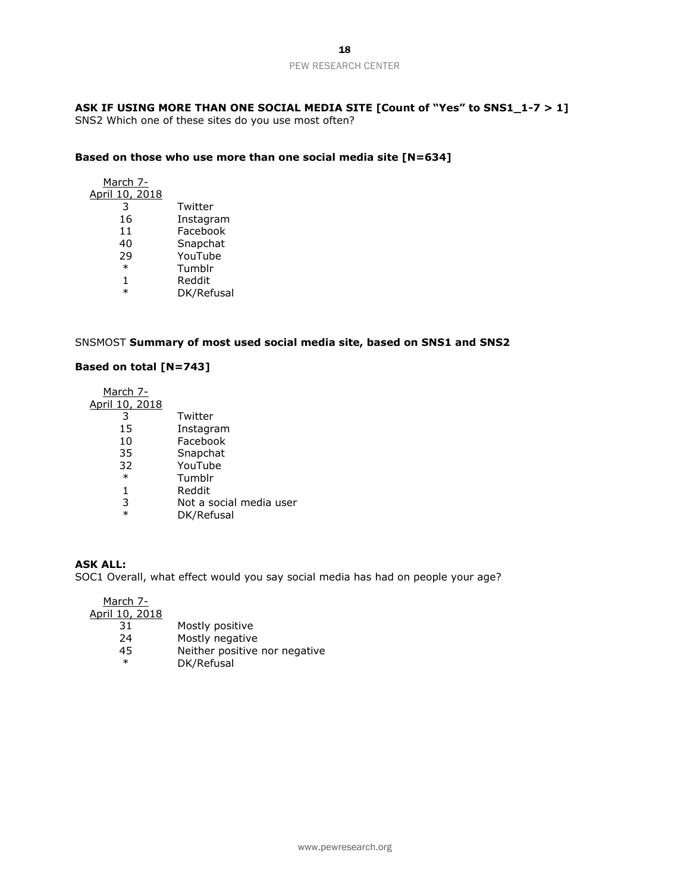### **ASK IF USING MORE THAN ONE SOCIAL MEDIA SITE [Count of "Yes" to SNS1\_1-7 > 1]**

SNS2 Which one of these sites do you use most often?

### **Based on those who use more than one social media site [N=634]**

| March 7-       |            |
|----------------|------------|
| April 10, 2018 |            |
| 3              | Twitter    |
| 16             | Instagram  |
| 11             | Facebook   |
| 40             | Snapchat   |
| 29             | YouTube    |
| $\ast$         | Tumblr     |
| 1              | Reddit     |
| $\ast$         | DK/Refusal |

### SNSMOST **Summary of most used social media site, based on SNS1 and SNS2**

### **Based on total [N=743]**

March 7- April 10, 2018

| ιυ.<br>2010 |                          |
|-------------|--------------------------|
| 3           | Twitter                  |
| 15          | Instagram                |
| 10          | Facebook                 |
| 35          | Snapchat                 |
| 32          | YouTube                  |
| $\ast$      | Tumblr                   |
| 1           | Reddit                   |
| っ           | Not a coc $\overline{ }$ |

- $\frac{3}{\sqrt{N}}$  Not a social media user
	- DK/Refusal

### **ASK ALL:**

SOC1 Overall, what effect would you say social media has had on people your age?

March 7-

April 10, 2018

- Mostly positive
- 24 Mostly negative<br>45 Neither positive
- 45 Neither positive nor negative<br>  $*$  DK/Refusal
- DK/Refusal